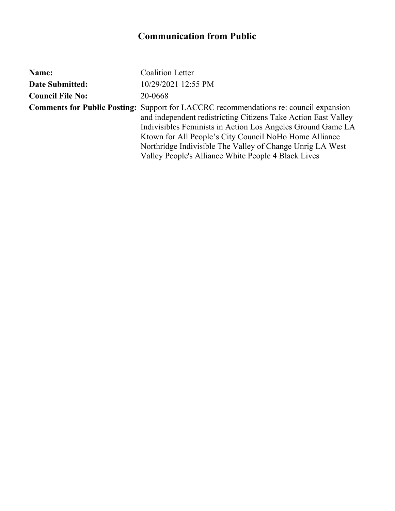| Name:                   | <b>Coalition Letter</b>                                                                                                                                                                                                                                                                                                                                                                                     |
|-------------------------|-------------------------------------------------------------------------------------------------------------------------------------------------------------------------------------------------------------------------------------------------------------------------------------------------------------------------------------------------------------------------------------------------------------|
| <b>Date Submitted:</b>  | 10/29/2021 12:55 PM                                                                                                                                                                                                                                                                                                                                                                                         |
| <b>Council File No:</b> | 20-0668                                                                                                                                                                                                                                                                                                                                                                                                     |
|                         | <b>Comments for Public Posting:</b> Support for LACCRC recommendations re: council expansion<br>and independent redistricting Citizens Take Action East Valley<br>Indivisibles Feminists in Action Los Angeles Ground Game LA<br>Ktown for All People's City Council NoHo Home Alliance<br>Northridge Indivisible The Valley of Change Unrig LA West<br>Valley People's Alliance White People 4 Black Lives |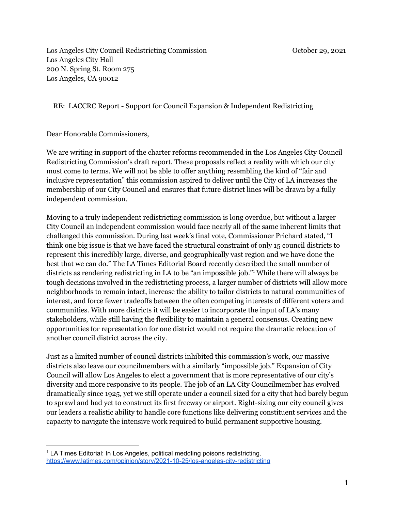Los Angeles City Council Redistricting Commission **October 20, 2021** Los Angeles City Hall 200 N. Spring St. Room 275 Los Angeles, CA 90012

RE: LACCRC Report - Support for Council Expansion & Independent Redistricting

Dear Honorable Commissioners,

We are writing in support of the charter reforms recommended in the Los Angeles City Council Redistricting Commission's draft report. These proposals reflect a reality with which our city must come to terms. We will not be able to offer anything resembling the kind of "fair and inclusive representation" this commission aspired to deliver until the City of LA increases the membership of our City Council and ensures that future district lines will be drawn by a fully independent commission.

Moving to a truly independent redistricting commission is long overdue, but without a larger City Council an independent commission would face nearly all of the same inherent limits that challenged this commission. During last week's final vote, Commissioner Prichard stated, "I think one big issue is that we have faced the structural constraint of only 15 council districts to represent this incredibly large, diverse, and geographically vast region and we have done the best that we can do." The LA Times Editorial Board recently described the small number of districts as rendering redistricting in LA to be "an impossible job." <sup>1</sup> While there will always be tough decisions involved in the redistricting process, a larger number of districts will allow more neighborhoods to remain intact, increase the ability to tailor districts to natural communities of interest, and force fewer tradeoffs between the often competing interests of different voters and communities. With more districts it will be easier to incorporate the input of LA's many stakeholders, while still having the flexibility to maintain a general consensus. Creating new opportunities for representation for one district would not require the dramatic relocation of another council district across the city.

Just as a limited number of council districts inhibited this commission's work, our massive districts also leave our councilmembers with a similarly "impossible job." Expansion of City Council will allow Los Angeles to elect a government that is more representative of our city's diversity and more responsive to its people. The job of an LA City Councilmember has evolved dramatically since 1925, yet we still operate under a council sized for a city that had barely begun to sprawl and had yet to construct its first freeway or airport. Right-sizing our city council gives our leaders a realistic ability to handle core functions like delivering constituent services and the capacity to navigate the intensive work required to build permanent supportive housing.

<sup>&</sup>lt;sup>1</sup> LA Times Editorial: In Los Angeles, political meddling poisons redistricting. <https://www.latimes.com/opinion/story/2021-10-25/los-angeles-city-redistricting>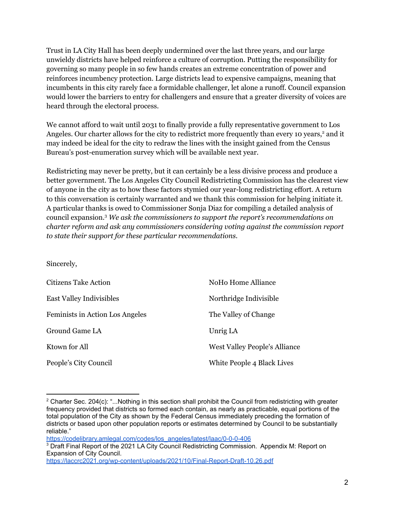Trust in LA City Hall has been deeply undermined over the last three years, and our large unwieldy districts have helped reinforce a culture of corruption. Putting the responsibility for governing so many people in so few hands creates an extreme concentration of power and reinforces incumbency protection. Large districts lead to expensive campaigns, meaning that incumbents in this city rarely face a formidable challenger, let alone a runoff. Council expansion would lower the barriers to entry for challengers and ensure that a greater diversity of voices are heard through the electoral process.

We cannot afford to wait until 2031 to finally provide a fully representative government to Los Angeles. Our charter allows for the city to redistrict more frequently than every 10 years, <sup>2</sup> and it may indeed be ideal for the city to redraw the lines with the insight gained from the Census Bureau's post-enumeration survey which will be available next year.

Redistricting may never be pretty, but it can certainly be a less divisive process and produce a better government. The Los Angeles City Council Redistricting Commission has the clearest view of anyone in the city as to how these factors stymied our year-long redistricting effort. A return to this conversation is certainly warranted and we thank this commission for helping initiate it. A particular thanks is owed to Commissioner Sonja Diaz for compiling a detailed analysis of council expansion. <sup>3</sup> *We ask the commissioners to support the report's recommendations on charter reform and ask any commissioners considering voting against the commission report to state their support for these particular recommendations.*

#### Sincerely,

| <b>Citizens Take Action</b>     | NoHo Home Alliance                   |
|---------------------------------|--------------------------------------|
| <b>East Valley Indivisibles</b> | Northridge Indivisible               |
| Feminists in Action Los Angeles | The Valley of Change                 |
| Ground Game LA                  | Unrig LA                             |
| Ktown for All                   | <b>West Valley People's Alliance</b> |
| People's City Council           | White People 4 Black Lives           |

[https://codelibrary.amlegal.com/codes/los\\_angeles/latest/laac/0-0-0-406](https://codelibrary.amlegal.com/codes/los_angeles/latest/laac/0-0-0-406)

<https://laccrc2021.org/wp-content/uploads/2021/10/Final-Report-Draft-10.26.pdf>

<sup>&</sup>lt;sup>2</sup> Charter Sec. 204(c): "...Nothing in this section shall prohibit the Council from redistricting with greater frequency provided that districts so formed each contain, as nearly as practicable, equal portions of the total population of the City as shown by the Federal Census immediately preceding the formation of districts or based upon other population reports or estimates determined by Council to be substantially reliable."

 $3$  Draft Final Report of the 2021 LA City Council Redistricting Commission. Appendix M: Report on Expansion of City Council.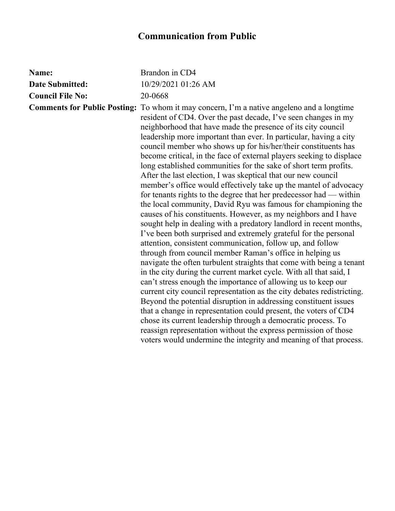| Name:                   | Brandon in CD4                                                                                                                                                                                                                                                                                                                                                                                                                                                                                                                                                                                                                                                                                                                                                                                                                                                                                                                                                                                                                                                                                                                                                                                                                                                                                                                                                                                                                                                                                                                                                                                                                                                                                                |
|-------------------------|---------------------------------------------------------------------------------------------------------------------------------------------------------------------------------------------------------------------------------------------------------------------------------------------------------------------------------------------------------------------------------------------------------------------------------------------------------------------------------------------------------------------------------------------------------------------------------------------------------------------------------------------------------------------------------------------------------------------------------------------------------------------------------------------------------------------------------------------------------------------------------------------------------------------------------------------------------------------------------------------------------------------------------------------------------------------------------------------------------------------------------------------------------------------------------------------------------------------------------------------------------------------------------------------------------------------------------------------------------------------------------------------------------------------------------------------------------------------------------------------------------------------------------------------------------------------------------------------------------------------------------------------------------------------------------------------------------------|
| <b>Date Submitted:</b>  | 10/29/2021 01:26 AM                                                                                                                                                                                                                                                                                                                                                                                                                                                                                                                                                                                                                                                                                                                                                                                                                                                                                                                                                                                                                                                                                                                                                                                                                                                                                                                                                                                                                                                                                                                                                                                                                                                                                           |
| <b>Council File No:</b> | 20-0668                                                                                                                                                                                                                                                                                                                                                                                                                                                                                                                                                                                                                                                                                                                                                                                                                                                                                                                                                                                                                                                                                                                                                                                                                                                                                                                                                                                                                                                                                                                                                                                                                                                                                                       |
|                         | <b>Comments for Public Posting:</b> To whom it may concern, I'm a native angeleno and a longtime<br>resident of CD4. Over the past decade, I've seen changes in my<br>neighborhood that have made the presence of its city council<br>leadership more important than ever. In particular, having a city<br>council member who shows up for his/her/their constituents has<br>become critical, in the face of external players seeking to displace<br>long established communities for the sake of short term profits.<br>After the last election, I was skeptical that our new council<br>member's office would effectively take up the mantel of advocacy<br>for tenants rights to the degree that her predecessor had — within<br>the local community, David Ryu was famous for championing the<br>causes of his constituents. However, as my neighbors and I have<br>sought help in dealing with a predatory landlord in recent months,<br>I've been both surprised and extremely grateful for the personal<br>attention, consistent communication, follow up, and follow<br>through from council member Raman's office in helping us<br>navigate the often turbulent straights that come with being a tenant<br>in the city during the current market cycle. With all that said, I<br>can't stress enough the importance of allowing us to keep our<br>current city council representation as the city debates redistricting.<br>Beyond the potential disruption in addressing constituent issues<br>that a change in representation could present, the voters of CD4<br>chose its current leadership through a democratic process. To<br>reassign representation without the express permission of those |
|                         | voters would undermine the integrity and meaning of that process.                                                                                                                                                                                                                                                                                                                                                                                                                                                                                                                                                                                                                                                                                                                                                                                                                                                                                                                                                                                                                                                                                                                                                                                                                                                                                                                                                                                                                                                                                                                                                                                                                                             |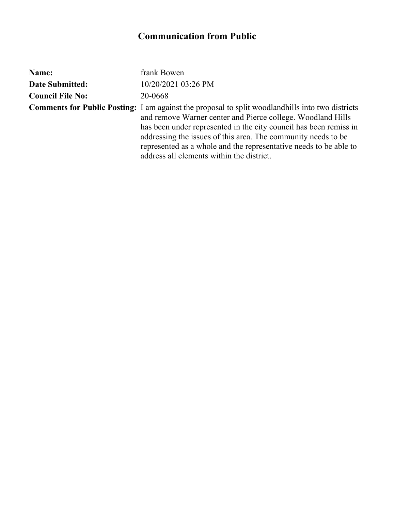| Name:                   | frank Bowen                                                                                                                                                                                                                                                                                                                                                                                                                    |
|-------------------------|--------------------------------------------------------------------------------------------------------------------------------------------------------------------------------------------------------------------------------------------------------------------------------------------------------------------------------------------------------------------------------------------------------------------------------|
| <b>Date Submitted:</b>  | 10/20/2021 03:26 PM                                                                                                                                                                                                                                                                                                                                                                                                            |
| <b>Council File No:</b> | 20-0668                                                                                                                                                                                                                                                                                                                                                                                                                        |
|                         | <b>Comments for Public Posting:</b> I am against the proposal to split woodlandhills into two districts<br>and remove Warner center and Pierce college. Woodland Hills<br>has been under represented in the city council has been remiss in<br>addressing the issues of this area. The community needs to be<br>represented as a whole and the representative needs to be able to<br>address all elements within the district. |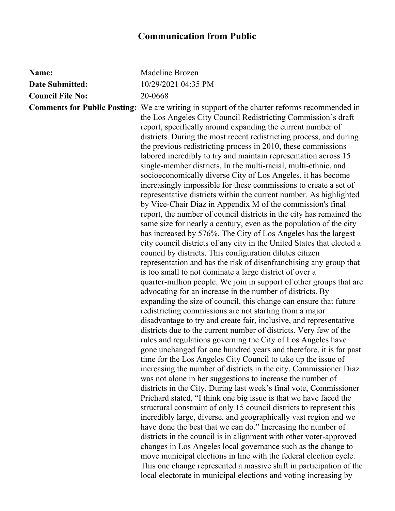| Name:                   | Madeline Brozen                                                                                                                                                                                                                                                                                                                                                                                                                                                                                                                                                                                                                                                                                                                                                                                                                                                                                                                                                                                                                                                                                                                                                                                                                                                                                                                                                                                                                                                                                                                                                                                                                                                                                                                                                                                                                                                                                                                                                                                                                                                                                                                                                                                                                                                                                                                  |
|-------------------------|----------------------------------------------------------------------------------------------------------------------------------------------------------------------------------------------------------------------------------------------------------------------------------------------------------------------------------------------------------------------------------------------------------------------------------------------------------------------------------------------------------------------------------------------------------------------------------------------------------------------------------------------------------------------------------------------------------------------------------------------------------------------------------------------------------------------------------------------------------------------------------------------------------------------------------------------------------------------------------------------------------------------------------------------------------------------------------------------------------------------------------------------------------------------------------------------------------------------------------------------------------------------------------------------------------------------------------------------------------------------------------------------------------------------------------------------------------------------------------------------------------------------------------------------------------------------------------------------------------------------------------------------------------------------------------------------------------------------------------------------------------------------------------------------------------------------------------------------------------------------------------------------------------------------------------------------------------------------------------------------------------------------------------------------------------------------------------------------------------------------------------------------------------------------------------------------------------------------------------------------------------------------------------------------------------------------------------|
| <b>Date Submitted:</b>  | 10/29/2021 04:35 PM                                                                                                                                                                                                                                                                                                                                                                                                                                                                                                                                                                                                                                                                                                                                                                                                                                                                                                                                                                                                                                                                                                                                                                                                                                                                                                                                                                                                                                                                                                                                                                                                                                                                                                                                                                                                                                                                                                                                                                                                                                                                                                                                                                                                                                                                                                              |
| <b>Council File No:</b> | 20-0668                                                                                                                                                                                                                                                                                                                                                                                                                                                                                                                                                                                                                                                                                                                                                                                                                                                                                                                                                                                                                                                                                                                                                                                                                                                                                                                                                                                                                                                                                                                                                                                                                                                                                                                                                                                                                                                                                                                                                                                                                                                                                                                                                                                                                                                                                                                          |
|                         | <b>Comments for Public Posting:</b> We are writing in support of the charter reforms recommended in<br>the Los Angeles City Council Redistricting Commission's draft<br>report, specifically around expanding the current number of<br>districts. During the most recent redistricting process, and during<br>the previous redistricting process in 2010, these commissions<br>labored incredibly to try and maintain representation across 15<br>single-member districts. In the multi-racial, multi-ethnic, and<br>socioeconomically diverse City of Los Angeles, it has become<br>increasingly impossible for these commissions to create a set of<br>representative districts within the current number. As highlighted<br>by Vice-Chair Diaz in Appendix M of the commission's final<br>report, the number of council districts in the city has remained the<br>same size for nearly a century, even as the population of the city<br>has increased by 576%. The City of Los Angeles has the largest<br>city council districts of any city in the United States that elected a<br>council by districts. This configuration dilutes citizen<br>representation and has the risk of disenfranchising any group that<br>is too small to not dominate a large district of over a<br>quarter-million people. We join in support of other groups that are<br>advocating for an increase in the number of districts. By<br>expanding the size of council, this change can ensure that future<br>redistricting commissions are not starting from a major<br>disadvantage to try and create fair, inclusive, and representative<br>districts due to the current number of districts. Very few of the<br>rules and regulations governing the City of Los Angeles have<br>gone unchanged for one hundred years and therefore, it is far past<br>time for the Los Angeles City Council to take up the issue of<br>increasing the number of districts in the city. Commissioner Diaz<br>was not alone in her suggestions to increase the number of<br>districts in the City. During last week's final vote, Commissioner<br>Prichard stated, "I think one big issue is that we have faced the<br>structural constraint of only 15 council districts to represent this<br>incredibly large, diverse, and geographically vast region and we |
|                         | have done the best that we can do." Increasing the number of                                                                                                                                                                                                                                                                                                                                                                                                                                                                                                                                                                                                                                                                                                                                                                                                                                                                                                                                                                                                                                                                                                                                                                                                                                                                                                                                                                                                                                                                                                                                                                                                                                                                                                                                                                                                                                                                                                                                                                                                                                                                                                                                                                                                                                                                     |
|                         | districts in the council is in alignment with other voter-approved                                                                                                                                                                                                                                                                                                                                                                                                                                                                                                                                                                                                                                                                                                                                                                                                                                                                                                                                                                                                                                                                                                                                                                                                                                                                                                                                                                                                                                                                                                                                                                                                                                                                                                                                                                                                                                                                                                                                                                                                                                                                                                                                                                                                                                                               |
|                         | changes in Los Angeles local governance such as the change to<br>move municipal elections in line with the federal election cycle.<br>This one change represented a massive shift in participation of the                                                                                                                                                                                                                                                                                                                                                                                                                                                                                                                                                                                                                                                                                                                                                                                                                                                                                                                                                                                                                                                                                                                                                                                                                                                                                                                                                                                                                                                                                                                                                                                                                                                                                                                                                                                                                                                                                                                                                                                                                                                                                                                        |
|                         | local electorate in municipal elections and voting increasing by                                                                                                                                                                                                                                                                                                                                                                                                                                                                                                                                                                                                                                                                                                                                                                                                                                                                                                                                                                                                                                                                                                                                                                                                                                                                                                                                                                                                                                                                                                                                                                                                                                                                                                                                                                                                                                                                                                                                                                                                                                                                                                                                                                                                                                                                 |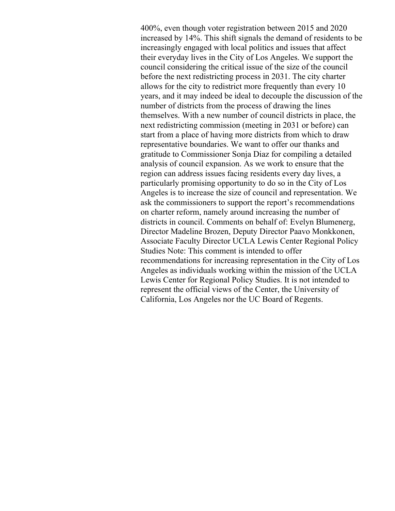400%, even though voter registration between 2015 and 2020 increased by 14%. This shift signals the demand of residents to be increasingly engaged with local politics and issues that affect their everyday lives in the City of Los Angeles. We support the council considering the critical issue of the size of the council before the next redistricting process in 2031. The city charter allows for the city to redistrict more frequently than every 10 years, and it may indeed be ideal to decouple the discussion of the number of districts from the process of drawing the lines themselves. With a new number of council districts in place, the next redistricting commission (meeting in 2031 or before) can start from a place of having more districts from which to draw representative boundaries. We want to offer our thanks and gratitude to Commissioner Sonja Diaz for compiling a detailed analysis of council expansion. As we work to ensure that the region can address issues facing residents every day lives, a particularly promising opportunity to do so in the City of Los Angeles is to increase the size of council and representation. We ask the commissioners to support the report's recommendations on charter reform, namely around increasing the number of districts in council. Comments on behalf of: Evelyn Blumenerg, Director Madeline Brozen, Deputy Director Paavo Monkkonen, Associate Faculty Director UCLA Lewis Center Regional Policy Studies Note: This comment is intended to offer recommendations for increasing representation in the City of Los Angeles as individuals working within the mission of the UCLA Lewis Center for Regional Policy Studies. It is not intended to represent the official views of the Center, the University of California, Los Angeles nor the UC Board of Regents.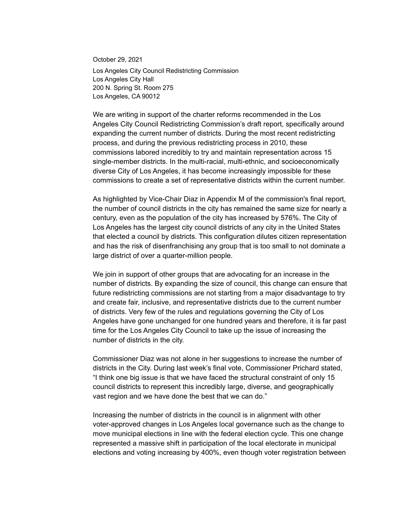October 29, 2021 Los Angeles City Council Redistricting Commission Los Angeles City Hall 200 N. Spring St. Room 275 Los Angeles, CA 90012

We are writing in support of the charter reforms recommended in the Los Angeles City Council Redistricting Commission's draft report, specifically around expanding the current number of districts. During the most recent redistricting process, and during the previous redistricting process in 2010, these commissions labored incredibly to try and maintain representation across 15 single-member districts. In the multi-racial, multi-ethnic, and socioeconomically diverse City of Los Angeles, it has become increasingly impossible for these commissions to create a set of representative districts within the current number.

As highlighted by Vice-Chair Diaz in Appendix M of the commission's final report, the number of council districts in the city has remained the same size for nearly a century, even as the population of the city has increased by 576%. The City of Los Angeles has the largest city council districts of any city in the United States that elected a council by districts. This configuration dilutes citizen representation and has the risk of disenfranchising any group that is too small to not dominate a large district of over a quarter-million people.

We join in support of other groups that are advocating for an increase in the number of districts. By expanding the size of council, this change can ensure that future redistricting commissions are not starting from a major disadvantage to try and create fair, inclusive, and representative districts due to the current number of districts. Very few of the rules and regulations governing the City of Los Angeles have gone unchanged for one hundred years and therefore, it is far past time for the Los Angeles City Council to take up the issue of increasing the number of districts in the city.

Commissioner Diaz was not alone in her suggestions to increase the number of districts in the City. During last week's final vote, Commissioner Prichard stated, "I think one big issue is that we have faced the structural constraint of only 15 council districts to represent this incredibly large, diverse, and geographically vast region and we have done the best that we can do."

Increasing the number of districts in the council is in alignment with other voter-approved changes in Los Angeles local governance such as the change to move municipal elections in line with the federal election cycle. This one change represented a massive shift in participation of the local electorate in municipal elections and voting increasing by 400%, even though voter registration between